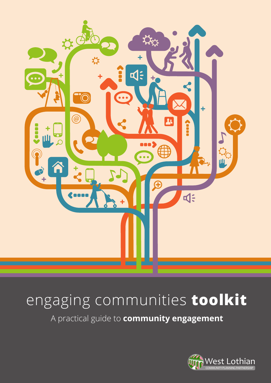

# engaging communities **toolkit**

A practical guide to **community engagement**

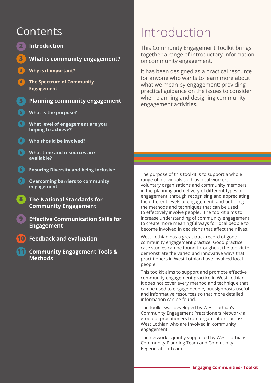# Contents

- **2 Introduction**
- **3 What is community engagement?**
- **3 Why is it important?**
- **4 The Spectrum of Community Engagement**
- **5 Planning community engagement**
- **5 What is the purpose?**
- **5 What level of engagement are you hoping to achieve?**
- **6 Who should be involved?**
- **6 What time and resources are available?**
- **6 Ensuring Diversity and being inclusive**
- **7 Overcoming barriers to community engagement**
	- **8 The National Standards for Community Engagement**
	- **9 Effective Communication Skills for Engagement**
- **10 Feedback and evaluation**
	- **11 Community Engagement Tools & Methods**

# Introduction

This Community Engagement Toolkit brings together a range of introductory information on community engagement.

It has been designed as a practical resource for anyone who wants to learn more about what we mean by engagement; providing practical guidance on the issues to consider when planning and designing community engagement activities.

The purpose of this toolkit is to support a whole range of individuals such as local workers, voluntary organisations and community members in the planning and delivery of different types of engagement; through recognising and appreciating the different levels of engagement; and outlining the methods and techniques that can be used to effectively involve people. The toolkit aims to increase understanding of community engagement to create more meaningful ways for local people to become involved in decisions that affect their lives.

West Lothian has a great track record of good community engagement practice. Good practice case studies can be found throughout the toolkit to demonstrate the varied and innovative ways that practitioners in West Lothian have involved local people.

This toolkit aims to support and promote effective community engagement practice in West Lothian. It does not cover every method and technique that can be used to engage people, but signposts useful and informative resources so that more detailed information can be found.

The toolkit was developed by West Lothian's Community Engagement Practitioners Network; a group of practitioners from organisations across West Lothian who are involved in community engagement.

The network is jointly supported by West Lothians Community Planning Team and Community Regeneration Team.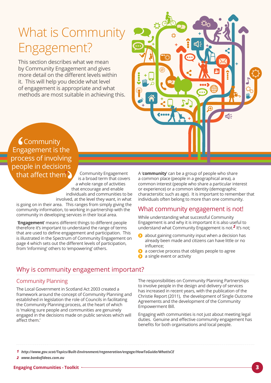# What is Community Engagement?

This section describes what we mean by Community Engagement and gives more detail on the different levels within it. This will help you decide what level of engagement is appropriate and what methods are most suitable in achieving this.



**Community** Engagement is the process of involving people in decisions that affect them *<sup>1</sup>*

Community Engagement is a broad term that covers a whole range of activities that encourage and enable individuals and communities to be involved, at the level they want, in what

is going on in their area. This ranges from simply giving the community information, to working in partnership with the community in developing services in their local area.

 '**Engagement**' means different things to different people therefore it's important to understand the range of terms that are used to define engagement and participation. This is illustrated in the Spectrum of Community Engagement on page 4 which sets out the different levels of participation, from 'informing' others to 'empowering' others.

A '**community**' can be a group of people who share a common place (people in a geographical area), a common interest (people who share a particular interest or experience) or a common identity (demographic charactersitic such as age). It is important to remember that individuals often belong to more than one community.

## What community engagement is not!

While understanding what successful Community Engagement is and why it is important it is also useful to understand what Community Engagement is not.<sup>2</sup> It's not;

- $\bullet$  about gaining community input when a decision has already been made and citizens can have little or no influence;
- a coercive process that obliges people to agree
- **a** single event or activity

## Why is community engagement important?

## Community Planning

The Local Government in Scotland Act 2003 created a framework around the concept of Community Planning and established in legislation the role of Councils in facilitating the Community Planning process, at the heart of which is 'making sure people and communities are genuinely engaged in the decisions made on public services which will affect them.'

The responsibilities on Community Planning Partnerships to involve people in the design and delivery of services has increased in recent years, with the publication of the Christie Report (2011), the development of Single Outcome Agreements and the development of the Community Empowerment Bill.

Engaging with communities is not just about meeting legal duties. Genuine and effective community engagement has benefits for both organisations and local people.

*<http://www.gov.scot/Topics/Built-Environment/regeneration/engage/HowToGuide/WhatIsCE> 1 [www.bankofideas.com.au](http://www.bankofideas.com.au) 2*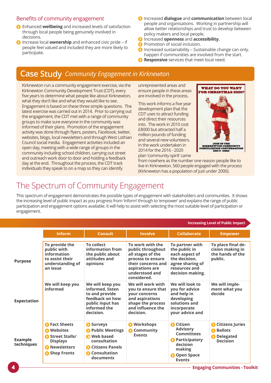## Benefits of community engagement

- Enhanced **wellbeing** and increased levels of satisfaction through local people being genuinely involved in decisions.
- Increase local **ownership** and enhanced civic pride if people feel valued and included they are more likely to participate.
- **O** Increased **dialogue** and **communication** between local people and organisations. Working in partnership will allow better relationships and trust to develop between policy makers and local people.
- $\Omega$  Increased **openness** and **accessibility.**
- **P** Promotion of social inclusion.
- $\Omega$  Increased sustainability Sustainable change can only. happen if communities are involved from the start.
- **Responsive** services that meet local need.

# **Case Study** *Community Engagement in Kirknewton*

Kirknewton run a community engagement exercise, via the Kirknewton Community Development Trust (CDT), every five years to determine what people like about Kirknewton, what they don't like and what they would like to see. Engagement is based on these three simple questions. The latest exercise was carried out in 2014. Prior to carrying out the engagement, the CDT met with a range of community groups to make sure everyone in the community was informed of their plans. Promotion of the engagement activity was done through flyers, posters, Facebook, twitter, websites, blogs, local newsletters and through West Lothian Council social media. Engagement activities included an open day, meeting with a wide range of groups in the community including school children, carrying out street and outreach work door to door and holding a feedback day at the end. Throughout the process, the CDT track individuals they speak to on a map so they can identify

unrepresented areas and ensure people in these areas are involved in the process.

This work informs a five year development plan that the CDT uses to attract funding and direct their resources into. The work in 2010 cost £8000 but attracted half a million pounds of funding and several new volunteers. In the work undertaken in 2014 for the 2016 - 2020 plan 'community spirit' came



from nowhere as the number one reason people like to live in Kirknewton. 560 people engaged with the process (Kirknewton has a population of just under 2000).

# The Spectrum of Community Engagement

This spectrum of engagement demonstrates the possible types of engagement with stakeholders and communities. It shows the increasing level of public impact as you progress from 'inform' through to 'empower' and explains the range of public participation and engagement options available. It will help to assist with selecting the most suitable level of participation or engagement.

|                              |                                                                                                                       |                                                                                                                                    | <b>Increasing Level of Public Impact</b>                                                                                                                  |                                                                                                                                           |                                                                                       |  |
|------------------------------|-----------------------------------------------------------------------------------------------------------------------|------------------------------------------------------------------------------------------------------------------------------------|-----------------------------------------------------------------------------------------------------------------------------------------------------------|-------------------------------------------------------------------------------------------------------------------------------------------|---------------------------------------------------------------------------------------|--|
|                              | <b>Inform</b>                                                                                                         | <b>Consult</b>                                                                                                                     | <b>Involve</b>                                                                                                                                            | <b>Collaborate</b>                                                                                                                        | <b>Empower</b>                                                                        |  |
| <b>Purpose</b>               | To provide the<br>public with<br>information<br>to assist their<br>understanding of<br>an issue                       | <b>To collect</b><br>information from<br>the public about<br>attitudes and<br>opinions                                             | To work with the<br>public throughout<br>all stages of the<br>process to ensure<br>their concerns and<br>aspirations are<br>understood and<br>considered. | To partner with<br>the public in<br>each aspect of<br>the decision.<br>agree sharing of<br>resources and<br>decision making.              | To place final de-<br>cision making in<br>the hands of the<br>public.                 |  |
| <b>Expectation</b>           | We will keep you<br>informed                                                                                          | We will keep you<br>informed, listen<br>to and provide<br>feedback on how<br>public input has<br>informed the<br>decision.         | We will work with<br>you to ensure that<br>vour concerns<br>and aspirations<br>shape the process<br>and influence the<br>decision.                        | We will look to<br>you for advice<br>and help in<br>developing<br>solutions and<br>incorporate<br>your advice and                         | We will imple-<br>ment what you<br>decide                                             |  |
| <b>Example</b><br>techniques | <b>O</b> Fact Sheets<br><b>O</b> Websites<br>Street Stalls/<br><b>Displays</b><br><b>O</b> Newsletters<br>Shop Fronts | Surveys<br><b>O</b> Public Meetings<br><b>O</b> Web based<br>consultation<br>Citizens Panels<br><b>O</b> Consultation<br>documents | <b>O</b> Workshops<br>Community<br><b>Events</b>                                                                                                          | <b>O</b> Citizen<br><b>Advisory</b><br><b>Committees</b><br><b>O</b> Participatory<br>decision<br>making<br>O Open Space<br><b>Events</b> | <b>O</b> Citizens Juries<br><b>D</b> Ballots<br><b>D</b> Delegated<br><b>Decision</b> |  |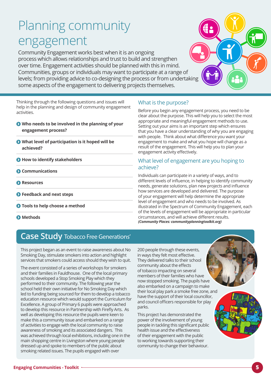# Planning community engagement

Community Engagement works best when it is an ongoing process which allows relationships and trust to build and strengthen over time. Engagement activities should be planned with this in mind. Communities, groups or individuals may want to participate at a range of levels; from providing advice to co-designing the process or from undertaking some aspects of the engagement to delivering projects themselves.

Thinking through the following questions and issues will help in the planning and design of community engagement activities.

- **Who needs to be involved in the planning of your engagement process?**
- **What level of participation is it hoped will be achieved?**
- **How to identify stakeholders**
- *C* Communications
- **Resources**
- **Feedback and next steps**
- $\bullet$  Tools to help choose a method
- **Methods**

#### What is the purpose?

Before you begin any engagement process, you need to be clear about the purpose. This will help you to select the most appropriate and meaningful engagement methods to use. Setting out your aims is an important step which ensures that you have a clear understanding of why you are engaging with people. Think about what difference you want your engagement to make and what you hope will change as a result of the engagement. This will help you to plan your engagement activity effectively.

## What level of engagement are you hoping to achieve?

Individuals can participate in a variety of ways, and to different levels of influence, in helping to identify community needs, generate solutions, plan new projects and influence how services are developed and delivered. The purpose of your engagement will help determine the appropriate level of engagement and who needs to be involved. As illustrated in the Spectrum of Community Engagement, each of the levels of engagement will be appropriate in particular circumstances, and will achieve different results. *(Community Places: communityplanningtoolkit.org)*

# **Case Study** Tobacco Free Generations'

This project began as an event to raise awareness about No Smoking Day, stimulate smokers into action and highlight services that smokers could access should they wish to quit.

The event consisted of a series of workshops for smokers and their families in Fauldhouse. One of the local primary schools developed a Stop Smoking Play which they performed to their community. The following year the school held their own initiative for No Smoking Day which led to funding being sourced for them to develop a tobacco education resource which would support the Curriculum for Excellence. A group of Primary 6 pupils were approached to develop this resource in Partnership with Firefly Arts. As well as developing this resource the pupils were keen to make this a community issue and embarked on a range of activities to engage with the local community to raise awareness of smoking and its associated dangers. This was achieved through local exhibitions, including one in the main shopping centre in Livingston where young people dressed up and spoke to members of the public about smoking related issues. The pupils engaged with over

200 people through these events, in ways they felt most effective. They delivered talks to their school community about the effects of tobacco impacting on several members of their families who have now stopped smoking. The pupils have also embarked on a campaign to make their local play park a smoke free zone, and have the support of their local councillor, and council officers responsible for play parks.

This project has demonstrated the power of the involvement of young people in tackling this significant public health issue and the effectiveness of their engagement with the public to working towards supporting their community to change their behaviour. **Creating a world where young a world where young a world where young a world** where young a world where young a world where young a world where young a world where you world where young a world where you world where you w **people choose not to smoke**

**NHS**

and Care Partnership ww.westlothianchc

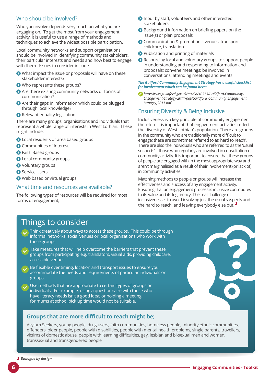## Who should be involved?

Who you involve depends very much on what you are engaging on. To get the most from your engagement activity, it is useful to use a range of methods and techniques to achieve the widest possible participation.

Local community networks and support organisations should be involved in identifying community stakeholders, their particular interests and needs and how best to engage with them. Issues to consider include;

- What impact the issue or proposals will have on these stakeholder interests?
- Who represents these groups?
- Are there existing community networks or forms of communication?
- Are their gaps in information which could be plugged through local knowledge?
- Relevant equality legislation

There are many groups, organisations and individuals that represent a whole range of interests in West Lothian. These might include;

- **O** Local residents or area based groups
- **O** Communities of Interest
- **O** Faith Based groups
- **O** Local community groups
- **O** Voluntary groups
- **Service Users**
- Web based or virtual groups

### What time and resources are available?

The following types of resources will be required for most forms of engagement;

- **O** Input by staff, volunteers and other interested stakeholders
- Background information on briefing papers on the issue(s) or plan proposals
- Communication & promotion venues, transport, childcare, translation
- **O** Publication and printing of materials
- **◆ Resourcing local and voluntary groups to support people** in understanding and responding to information and proposals; convene meetings; be involved in conversations; attending meetings and events.

#### *The Guilford Community Engagement Strategy has a useful checklist for involvement which can be found here:*

*[http://www.guildford.gov.uk/media/10373/Guildford-Community-](http://www.guildford.gov.uk/media/10373/Guildford-Community-Engagement-Strategy-2011/pdf/Guildford_Community_Engagement_Strategy_2011.pdf)[Engagement-Strategy-2011/pdf/Guildford\\_Community\\_Engagement\\_](http://www.guildford.gov.uk/media/10373/Guildford-Community-Engagement-Strategy-2011/pdf/Guildford_Community_Engagement_Strategy_2011.pdf)  [Strategy\\_2011.pdf](http://www.guildford.gov.uk/media/10373/Guildford-Community-Engagement-Strategy-2011/pdf/Guildford_Community_Engagement_Strategy_2011.pdf)*

## Ensuring Diversity & Being Inclusive

Inclusiveness is a key principle of community engagement therefore it is important that engagement activities reflect the diversity of West Lothian's population. There are groups in the community who are traditionally more difficult to engage; these are sometimes referred to as 'hard to reach'. There are also the individuals who are referred to as the 'usual suspects' – those who regularly are involved in consultation or community activity. It is important to ensure that these groups of people are engaged with in the most appropriate way and aren't marginalised as a result of their involvement (or lack of) in community activities.

Matching methods to people or groups will increase the effectiveness and success of any engagement activity. Ensuring that an engagement process is inclusive contributes to its value and its legitimacy. The real challenge of inclusiveness is to avoid involving just the usual suspects and the hard to reach, and leaving everybody else out. *3*

# Things to consider

- Think creatively about ways to access these groups. This could be through informal networks, social venues or local organisations who work with these groups.
- Take measures that will help overcome the barriers that prevent these groups from participating e.g. translators, visual aids, providing childcare, accessible venues.
- Be flexible over timing, location and transport issues to ensure you accommodate the needs and requirements of particular individuals or groups.
- Use methods that are appropriate to certain types of groups or individuals. For example, using a questionnaire with those who have literacy needs isn't a good idea; or holding a meeting for mums at school pick up time would not be suitable.

## **Groups that are more difficult to reach might be;**

Asylum Seekers, young people, drug users, faith communities, homeless people, minority ethnic communities, offenders, older people, people with disabilities, people with mental health problems, single parents, travellers, victims of domestic abuse, people with learning difficulties, gay, lesbian and bi-sexual men and women, transsexual and transgendered people

**?**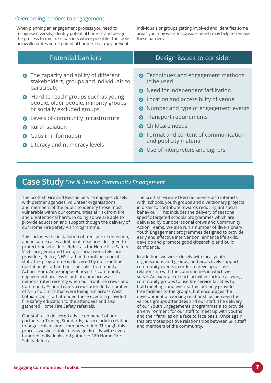## Overcoming barriers to engagement

When planning an engagement process you need to recognise diversity, identify potential barriers and design the process to minimise barriers where possible. The table below illustrates some potential barriers that may prevent

individuals or groups getting involved and identifies some areas you may want to consider which may help to remove these barriers.

| Potential barriers                                                                                                                                                                                                  | Design issues to consider                                                                                                                                                                                          |
|---------------------------------------------------------------------------------------------------------------------------------------------------------------------------------------------------------------------|--------------------------------------------------------------------------------------------------------------------------------------------------------------------------------------------------------------------|
| • The capacity and ability of different<br>stakeholders, groups and individuals to<br>participate<br>• 'Hard to reach' groups such as young<br>people, older people, minority groups<br>or socially excluded groups | Techniques and engagement methods<br>$\bullet$<br>to be used<br>Need for independent facilitation<br>Location and accessibility of venue<br>$\bullet$<br>Number and type of engagement events<br>$\mathbf{\Omega}$ |
| Levels of community infrastructure<br>$\bullet$                                                                                                                                                                     | Transport requirements<br>$\bullet$                                                                                                                                                                                |
| <b>O</b> Rural isolation                                                                                                                                                                                            | Childcare needs                                                                                                                                                                                                    |
| <b>Gaps in information</b><br>$\bullet$<br>Literacy and numeracy levels<br>$\bullet$                                                                                                                                | Format and content of communication<br>and publicity material<br>Use of interpreters and signers                                                                                                                   |

# **Case Study** *Fire & Rescue Community Engagement*

The Scottish Fire and Rescue Service engages closely with partner agencies, volunteer organisations and members of the public to identify those most vulnerable within our communities at risk from fire and unintentional harm. In doing so we are able to provide education and support though the delivery of our Home Fire Safety Visit Programme.

This includes the installation of free smoke detection, and in some cases additional measures designed to protect householders. Referrals for Home Fire Safety Visits are generated through social work, telecare providers, Police, NHS staff and frontline council staff. The programme is delivered by our frontline operational staff and our specialist Community Action Team. An example of how this community engagement process is put into practice was demonstrated recently when our frontline crews and Community Action Teams crews attended a number of NHS flu clinics that were being run across West Lothian. Our staff attended these events a provided fire safety education to the attendees and also gathered Home Fire Safety referrals.

Our staff also delivered advice on behalf of our partners in Trading Standards, particularly in relation to bogus callers and scam prevention. Through this process we were able to engage directly with several hundred individuals and gathered 180 Home Fire Safety Referrals.

The Scottish Fire and Rescue Service also interacts with schools, youth groups and diversionary projects in order to contribute towards reducing antisocial behaviour. This includes the delivery of seasonal specific targeted schools programmes which are delivered by our operational crews and Community Action Teams. We also run a number of diversionary Youth Engagement programmes designed to provide early and effective intervention, enhance life skills, develop and promote good citizenship and build confidence.

In addition, we work closely with local youth organisations and groups, and proactively support community events in order to develop a close relationship with the communities in which we serve. An example of such activities include allowing community groups to use fire service facilities to hold meetings and events. This not only provides free facilities to the groups, but encourages the development of working relationships between the various groups attendees and our staff. The delivery of our Youth Engagements programmes also provide an environment for our staff to meet up with youths and their families on a face to face basis. Once again this promotes positive relationships between SFR staff and members of the community.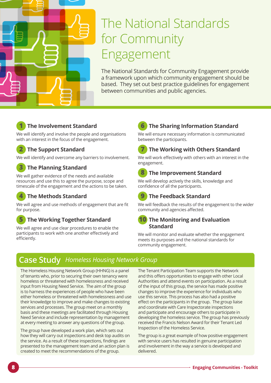

# The National Standards for Community Engagement

The National Standards for Community Engagement provide a framework upon which community engagement should be based. They set out best practice guidelines for engagement between communities and public agencies.



## **1 The Involvement Standard**

We will identify and involve the people and organisations with an interest in the focus of the engagement.

## **2 The Support Standard**

We will identify and overcome any barriers to involvement.

## **3 The Planning Standard**

We will gather evidence of the needs and available resources and use this to agree the purpose, scope and timescale of the engagement and the actions to be taken.

## **4 The Methods Standard**

We will agree and use methods of engagement that are fit for purpose.

## **5 The Working Together Standard**

We will agree and use clear procedures to enable the participants to work with one another effectively and efficiently.

# **6 The Sharing Information Standard**

We will ensure necessary information is communicated between the participants.

## **7 The Working with Others Standard**

We will work effectively with others with an interest in the engagement.

## **8 The Improvement Standard**

We will develop actively the skills, knowledge and confidence of all the participants.

# **9 The Feedback Standard**

We will feedback the results of the engagement to the wider community and agencies affected.

## **10 The Monitoring and Evaluation Standard**

We will monitor and evaluate whether the engagement meets its purposes and the national standards for community engagement.

# **Case Study** *Homeless Housing Network Group*

The Homeless Housing Network Group (HHNG) is a panel of tenants who, prior to securing their own tenancy were homeless or threatened with homelessness and received input from Housing Need Service. The aim of the group is to harness the experiences of people who have been either homeless or threatened with homelessness and use their knowledge to improve and make changes to existing services and processes. The group meet on a monthly basis and these meetings are facilitated through Housing Need Service and include representation by management at every meeting to answer any questions of the group.

The group have developed a work plan, which sets out how they will carry out inspections and desk top audits on the service. As a result of these inspections, findings are presented to the management team and an action plan is created to meet the recommendations of the group.

The Tenant Participation Team supports the Network and this offers opportunities to engage with other Local Authorities and attend events on participation. As a result of the input of this group, the service has made positive changes to improve the experience for individuals who use this service. This process has also had a positive effect on the participants in the group. The group liaise and coordinate with Care Inspectorate inspections and participate and encourage others to participate in developing the homeless service. The group has previously received the Francis Nelson Award for their Tenant Led Inspection of the Homeless Service.

The group is a great example of how positive engagement with service users has resulted in genuine participation and involvement in the way a service is developed and delivered.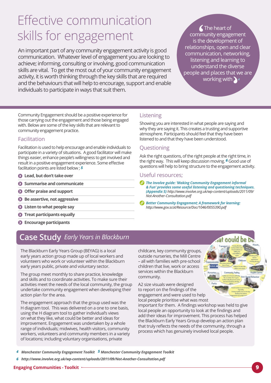# Effective communication skills for engagement

An important part of any community engagement activity is good communication. Whatever level of engagement you are looking to achieve; informing, consulting or involving, good communication skills are vital. To get the most out of your community engagement activity, it is worth thinking through the key skills that are required and the behaviours that will help to encourage, support and enable individuals to participate in ways that suit them.

The heart of community engagement is the development of relationships, open and clear communication, networking, listening and learning to understand the diverse people and places that we are working with *<sup>4</sup>*

Community Engagement should be a positive experience for those carrying out the engagement and those being engaged with. Below are some of the key skills that are relevant to community engagement practice.

## Facilitation

Facilitation is used to help encourage and enable individuals to participate in a variety of situations. A good facilitator will make things easier, enhance people's willingness to get involved and result in a positive engagement experience. Some effective facilitation points are listed below ; *5*

- **Lead, but don't take over**
- $\odot$  Summarise and communicate
- **Offer praise and support**
- $\bullet$  Be assertive, not aggressive
- **Listen to what people say**
- $\odot$  Treat participants equally
- **Encourage participants**

# **Case Study** *Early Years in Blackburn*

The Blackburn Early Years Group (BEYAG) is a local early years action group made up of local workers and volunteers who work or volunteer within the Blackburn early years public, private and voluntary sector.

The group meet monthly to share practice, knowledge and skills and to coordinate activities. To make sure their activities meet the needs of the local community, the group undertake community engagement when developing their action plan for the area.

The engagement approach that the group used was the H diagram tool. This was delivered on a one to one basis, using the H diagram tool to gather individual's views on what they like, what could be better and ideas for improvement. Engagement was undertaken by a whole range of individuals; midwives, health visitors, community workers, volunteers and community members in a variety of locations; including voluntary organisations, private

childcare, key community groups, outside nurseries, the Mill Centre – all with families with pre-school children that live, work or access services within the Blackburn community.

A2 size visuals were designed to report on the findings of the engagement and were used to help local people prioritise what was most

important for them. A findings workshop was held to give local people an opportunity to look at the findings and add their ideas for improvement. This process has helped the Blackburn Early Years Group develop an action plan that truly reflects the needs of the community, through a process which has genuinely involved local people.

- 4 Manchester Community Engagement Toolkit 5 Manchester Community Engagement Toolkit
- *[http://www.involve.org.uk/wp-content/uploads/2011/09/Not-Another-Consultation.pdf]( http://www.involve.org.uk/wp-content/uploads/2011/09/Not-Another-Consultation.pdf ) 6*

#### **Engaging Communities - Toolkit 9**

## Listening

Showing you are interested in what people are saying and why they are saying it. This creates a trusting and supportive atmosphere. Participants should feel that they have been listened to and that they have been understood.

## Questioning

Ask the right questions, of the right people at the right time, in the right way. This will keep discussion moving. *6* Good use of questions will help to bring structure to the engagement activity.

#### Useful resources;

- *The Involve guide: 'Making Community Engagement informal & Fun' provides some useful listening and questioning techniques. (Appendix 5) [http://www.involve.org.uk/wp-content/uploads/2011/09/](http://www.involve.org.uk/wp-content/uploads/2011/09/Not-Another-Consultation.pdf)  [Not-Another-Consultation.pdf](http://www.involve.org.uk/wp-content/uploads/2011/09/Not-Another-Consultation.pdf)*
- *Better Community Engagement; A framework for learning: <http://www.gov.scot/Resource/Doc/1046/0055390.pdf>*

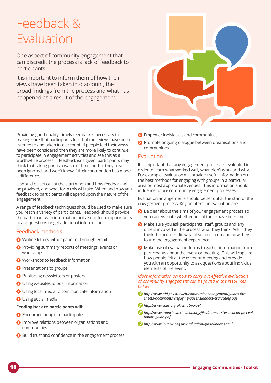# Feedback & Evaluation

One aspect of community engagement that can discredit the process is lack of feedback to participants.

It is important to inform them of how their views have been taken into account, the broad findings from the process and what has happened as a result of the engagement.



Providing good quality, timely feedback is necessary to making sure that participants feel that their views have been listened to and taken into account. If people feel their views have been considered then they are more likely to continue to participate in engagement activities and see this as a worthwhile process. If feedback isn't given, participants may think that taking part is a waste of time, or that they have been ignored, and won't know if their contribution has made a difference.

It should be set out at the start when and how feedback will be provided, and what form this will take. When and how you feedback to participants will depend upon the nature of the engagement.

A range of feedback techniques should be used to make sure you reach a variety of participants. Feedback should provide the participant with information but also offer an opportunity to ask questions or get additional information.

## Feedback methods

- Writing letters, either paper or through email
- **O** Providing summary reports of meetings, events or workshops
- **O** Workshops to feedback information
- **P** Presentations to groups
- **Publishing newsletters or posters**
- **O** Using websites to post information
- **O** Using local media to communicate information
- **O** Using social media

#### **Feeding back to participants will:**

- **Encourage people to participate**
- **O** Improve relations between organisations and communities
- Build trust and confidence in the engagement process
- **O** Empower individuals and communities
- **P** Promote ongoing dialogue between organisations and communities

#### Evaluation

It is important that any engagement process is evaluated in order to learn what worked well, what didn't work and why. For example, evaluation will provide useful information on the best methods for engaging with groups in a particular area or most appropriate venues. This information should influence future community engagement processes.

Evaluation arrangements should be set out at the start of the engagement process. Key pointers for evaluation are;

- Be clear about the aims of your engagement process so you can evaluate whether or not these have been met.
- $\bullet$  Make sure you ask participants, staff, groups and any others involved in the process what they think; Ask if they think the process did what it set out to do and how they found the engagement experience.
- Make use of evaluation forms to gather information from participants about the event or meeting. This will capture how people felt at the event or meeting and provide you with an opportunity to ask questions about individual elements of the event.

*More information on how to carry out effective evaluation of community engagement can be found in the resources below.*

- *[http://www.qld.gov.au/web/community-engagement/guides-fact](http://www.qld.gov.au/web/community-engagement/guides-factsheets/documents/engaging-queenslanders-evaluating.pdf)  [sheets/documents/engaging-queenslanders-evaluating.pdf](http://www.qld.gov.au/web/community-engagement/guides-factsheets/documents/engaging-queenslanders-evaluating.pdf)*
- *<http://www.scdc.org.uk/what/voice/>*
- *[http://www.manchesterbeacon.org/files/manchester-beacon-pe-eval](http://www.manchesterbeacon.org/files/manchester-beacon-pe-evaluation-guide.pdf) [uation-guide.pdf](http://www.manchesterbeacon.org/files/manchester-beacon-pe-evaluation-guide.pdf)*
- *<http://www.involve.org.uk/evaluation-guide/index.shtml>*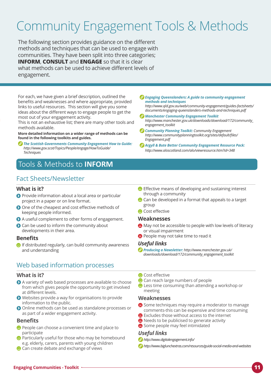# Community Engagement Tools & Methods

The following section provides guidance on the different methods and techniques that can be used to engage with communities. They have been split into three categories; **INFORM**, **CONSULT** and **ENGAGE** so that it is clear what methods can be used to achieve different levels of engagement.

For each, we have given a brief description, outlined the benefits and weaknesses and where appropriate, provided links to useful resources. This section will give you some ideas about the different ways to engage people to get the most out of your engagement activity.

This is not an exhaustive list; there are many other tools and methods available.

**More detailed information on a wider range of methods can be found in the following toolkits and guides.**

- *The Scottish Governments Community Engagement How to Guide: [http://www.gov.scot/Topics/People/engage/HowToGuide/](http://www.gov.scot/Topics/People/engage/HowToGuide/Techniques)  [Techniques](http://www.gov.scot/Topics/People/engage/HowToGuide/Techniques)*
- Tools & Methods to **INFORM**

## Fact Sheets/Newsletter

#### **What is it?**

- Provide information about a local area or particular project in a paper or on line format.
- O One of the cheapest and cost effective methods of keeping people informed.
- A useful complement to other forms of engagement.
- **O** Can be used to inform the community about developments in their area.

#### **Benefits**

 $\bigodot$  If distributed regularly, can build community awareness and understanding

## Web based information processes

#### **What is it?**

- A variety of web based processes are available to choose from which gives people the opportunity to get involved at different levels.
- Websites provide a way for organisations to provide information to the public.
- Online methods can be used as standalone processes or as part of a wider engagement activity.

#### **Benefits**

- **P** People can choose a convenient time and place to participate
- Particularly useful for those who may be homebound e.g. elderly, carers, parents with young children
- <sup>2</sup> Can create debate and exchange of views

*Engaging Queenslanders: A guide to community engagement methods and techniques*

*[http://www.qld.gov.au/web/community-engagement/guides-factsheets/](http://www.qld.gov.au/web/community-engagement/guides-factsheets/documents/engaging-queenslanders-methods-and-techniques.pdf)  [documents/engaging-queenslanders-methods-and-techniques.pdf](http://www.qld.gov.au/web/community-engagement/guides-factsheets/documents/engaging-queenslanders-methods-and-techniques.pdf)*

- *Manchester Community Engagement Toolkit [http://www.manchester.gov.uk/downloads/download/172/community\\_](http://www.manchester.gov.uk/downloads/download/172/community_engagement_toolkit)  [engagement\\_toolkit](http://www.manchester.gov.uk/downloads/download/172/community_engagement_toolkit)*
- *Community Planning Toolkit: Community Engagement [http://www.communityplanningtoolkit.org/sites/default/files/](http://www.communityplanningtoolkit.org/sites/default/files/Engagement.pdf) [Engagement.pdf](http://www.communityplanningtoolkit.org/sites/default/files/Engagement.pdf)*
- *Argyll & Bute Better Community Engagement Resource Pack: <http://www.aloscotland.com/alo/viewresource.htm?id=348>*
- $\bullet$  Effective means of developing and sustaining interest through a community
- $\bullet$  Can be developed in a format that appeals to a target group
- **O** Cost effective

#### **Weaknesses**

- $\bullet$  May not be accessible to people with low levels of literacy or visual impairment
- **P** People may not take time to read it

#### *Useful links*

- *Producing a Newsletter: [http://www.manchester.gov.uk/](http://www.manchester.gov.uk/downloads/download/172/community_engagement_toolkit)  [downloads/download/172/community\\_engagement\\_toolkit](http://www.manchester.gov.uk/downloads/download/172/community_engagement_toolkit)*
- **O** Cost effective
- <sup>O</sup> Can reach large numbers of people
- $\bullet$  Less time consuming than attending a workshop or meeting

#### **Weaknesses**

- Some techniques may require a moderator to manage comments-this can be expensive and time consuming
- Excludes those without access to the internet
- **A** Needs to be publicised to generate activity
- Some people may feel intimidated

- *<http://www.digitalengagement.info/>*
- *<http://www.biglunchextras.com/resources/guide-social-media-and-websites>*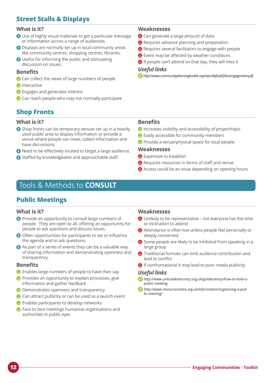# **Street Stalls & Displays**

#### **What is it?**

- Use of highly visual materials to get a particular message or information across a range of audiences.
- Displays are normally set up in local community areas like community centres, shopping centres, libraries.
- Useful for informing the public and stimulating discussion on issues.

### **Benefits**

- Can collect the views of large numbers of people
- **O** Interactive
- $\Theta$  Engages and generates interest
- Can reach people who may not normally participate

## **Shop Fronts**

#### **What is it?**

- Shop fronts can be temporary venues set up in a heavily used public area to display information or provide a venue where people can meet, collect information and have discussions.
- Need to be effectively located to target a large audience.
- Staffed by knowledgeable and approachable staff.

### **Weaknesses**

- <sup>2</sup> Can generate a large amount of data
- **Requires advance planning and preparation**
- Requires several facilitators to engage with people
- **B** Event may be affected by weather conditions
- **B** If people can't attend on that day, they will miss it

#### *Useful links*

*[http://www.communityplanningtoolkit.org/sites/default/files/engagement.pdf](http://www.communityplanningtoolkit.org/sites/default/files/engagement.pdf )*

### **Benefits**

- $\Theta$  Increases visibility and accessibility of project/topic
- $\bullet$  Easily accessible for community members
- **P** Provide a venue/physical space for local people

#### **Weaknesses**

- **B** Expensive to establish
- **Requires resources in terms of staff and venue**
- **A** Access could be an issue depending on opening hours

# Tools & Methods to **CONSULT**

## **Public Meetings**

#### **What is it?**

- **P** Provide an opportunity to consult large numbers of people. They are open to all, offering an opportunity for people to ask questions and discuss issues.
- Often opportunities for participants to set or influence the agenda and to ask questions.
- $\bullet$  As part of a series of events they can be a valuable way of sharing information and demonstrating openness and transparency.

#### **Benefits**

- Enables large numbers of people to have their say
- $\bullet$  Provides an opportunity to explain processes, give information and gather feedback
- $\bullet$  Demonstrates openness and transparency
- <sup>2</sup> Can attract publicity or can be used as a launch event
- $\bullet$  Enables participants to develop networks
- $\bullet$  Face to face meetings humanise organisations and authorities in public eyes

#### **Weaknesses**

- Unlikely to be representative not everyone has the time or inclination to attend
- Attendance is often low unless people feel personally or deeply concerned
- Some people are likely to be inhibited from speaking in a large group
- **A** Traditional formats can limit audience contribution and lead to conflict
- **B** If confrontational it may lead to poor media publicity

- *[http://www.unlockdemocracy.org.uk/guides/entry/how-to-hold-a](http://www.unlockdemocracy.org.uk/guides/entry/how-to-hold-a-public-meeting)[public-meeting](http://www.unlockdemocracy.org.uk/guides/entry/how-to-hold-a-public-meeting)*
- *[http://www.resourcecentre.org.uk/information/organising-a-pub](http://www.resourcecentre.org.uk/information/organising-a-public-meeting/)  [lic-meeting/](http://www.resourcecentre.org.uk/information/organising-a-public-meeting/)*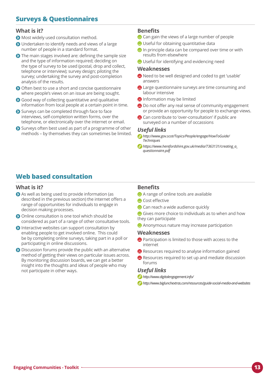# **Surveys & Questionnaires**

#### **What is it?**

- **O** Most widely used consultation method.
- Undertaken to identify needs and views of a large number of people in a standard format.
- The main stages involved are: defining the sample size and the type of information required; deciding on the type of survey to be used (postal, drop and collect, telephone or interview); survey design; piloting the survey; undertaking the survey and post-completion analysis of the results.
- Often best to use a short and concise questionnaire where people's views on an issue are being sought.
- **O** Good way of collecting quantitative and qualitative information from local people at a certain point in time.
- Surveys can be completed through face to face interviews, self-completion written forms, over the telephone, or electronically over the internet or email.
- Surveys often best used as part of a programme of other methods – by themselves they can sometimes be limited.

## **Benefits**

- <sup>2</sup> Can gain the views of a large number of people
- $\bullet$  Useful for obtaining quantitative data
- $\bullet$  In principle data can be compared over time or with results from elsewhere
- Useful for identifying and evidencing need

#### **Weaknesses**

- Need to be well designed and coded to get 'usable' answers
- **A** Large questionnaire surveys are time consuming and labour intensive
- **A** Information may be limited
- <sup>2</sup> Do not offer any real sense of community engagement or provide an opportunity for people to exchange views.
- <sup>2</sup> Can contribute to 'over-consultation' if public are surveyed on a number of occassions

#### *Useful links*

- *[http://www.gov.scot/Topics/People/engage/HowToGuide/](http://www.gov.scot/Topics/People/engage/HowToGuide/Techniques)  [Techniques](http://www.gov.scot/Topics/People/engage/HowToGuide/Techniques)*
- *[https://www.herefordshire.gov.uk/media/7363131/creating\\_a\\_](https://www.herefordshire.gov.uk/media/7363131/creating_a_questionnaire.pdf)  [questionnaire.pdf](https://www.herefordshire.gov.uk/media/7363131/creating_a_questionnaire.pdf)*

# **Web based consultation**

#### **What is it?**

- As well as being used to provide information (as described in the previous section) the internet offers a range of opportunities for individuals to engage in decision making processes.
- Online consultation is one tool which should be considered as part of a range of other consultative tools.
- Interactive websites can support consultation by enabling people to get involved online. This could be by completing online surveys, taking part in a poll or participating in online discussions.
- **O** Discussion forums provide the public with an alternative method of getting their views on particular issues across. By monitoring discussion boards, we can get a better insight into the thoughts and ideas of people who may not participate in other ways.

### **Benefits**

- A range of online tools are available
- **O** Cost effective
- <sup>2</sup> Can reach a wide audience quickly
- Gives more choice to individuals as to when and how they can participate
- **Anonymous nature may increase participation**

#### **Weaknesses**

- **A** Participation is limited to those with access to the internet
- **Resources required to analyse information gained**
- Resources required to set up and mediate discussion forums

- *<http://www.digitalengagement.info/>*
- *<http://www.biglunchextras.com/resources/guide-social-media-and-websites>*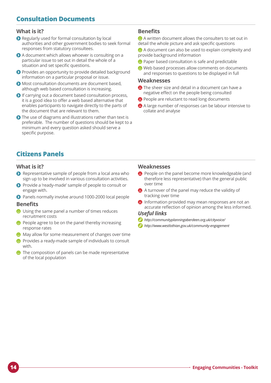# **Consultation Documents**

## **What is it?**

- **O** Regularly used for formal consultation by local authorities and other government bodies to seek formal responses from statutory consultees.
- A document which allows whoever is consulting on a particular issue to set out in detail the whole of a situation and set specific questions.
- **O** Provides an opportunity to provide detailed background information on a particular proposal or issue.
- Most consultation documents are document based, although web based consultation is increasing.
- If carrying out a document based consultation process, it is a good idea to offer a web based alternative that enables participants to navigate directly to the parts of the document that are relevant to them.
- **O** The use of diagrams and illustrations rather than text is preferable. The number of questions should be kept to a minimum and every question asked should serve a specific purpose.

## **Benefits**

A written document allows the consulters to set out in detail the whole picture and ask specific questions

- A document can also be used to explain complexity and provide background information
- **P** Paper based consultation is safe and predictable
- Web based processes allow comments on documents and responses to questions to be displayed in full

#### **Weaknesses**

- $\bigoplus$  The sheer size and detail in a document can have a negative effect on the people being consulted
- **People are reluctant to read long documents**
- A large number of responses can be labour intensive to collate and analyse

## **Citizens Panels**

#### **What is it?**

- $\Omega$  Representative sample of people from a local area who sign up to be involved in various consultation activities.
- **P** Provide a 'ready-made' sample of people to consult or engage with.
- Panels normally involve around 1000-2000 local people

#### **Benefits**

- Using the same panel a number of times reduces recruitment costs
- **P** People agree to be on the panel thereby increasing response rates
- $\bigodot$  May allow for some measurement of changes over time
- **P** Provides a ready-made sample of individuals to consult with.
- $\bullet$  The composition of panels can be made representative of the local population

### **Weaknesses**

- **People on the panel become more knowledgeable (and** therefore less representative) than the general public over time
- A turnover of the panel may reduce the validity of tracking over time
- **A** Information provided may mean responses are not an accurate reflection of opinion among the less informed.

- *<http://communityplanningaberdeen.org.uk/cityvoice/>*
- *<http://www.westlothian.gov.uk/community-engagement>*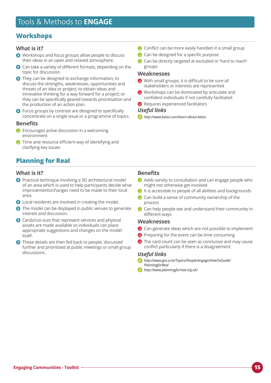## **Workshops**

## **What is it?**

- Workshops and focus groups allow people to discuss their ideas in an open and relaxed atmosphere.
- Can take a variety of different formats, depending on the ⋒ topic for discussion.
- They can be designed to exchange information; to discuss the strengths, weaknesses, opportunities and threats of an idea or project; to obtain ideas and innovative thinking for a way forward for a project; or they can be specifically geared towards prioritisation and the production of an action plan.
- **O** Focus groups by contrast are designed to specifically concentrate on a single issue or a programme of topics.

## **Benefits**

- $\bullet$  Encourages active discussion in a welcoming environment
- $\bullet$  Time and resource efficient way of identifying and clarifying key issues

# **Planning for Real**

#### **What is it?**

- **O** Practical technique involving a 3D architectural model of an area which is used to help participants decide what improvements/changes need to be made to their local area.
- **O** Local residents are involved in creating the model.
- The model can be displayed in public venues to generate interest and discussion.
- **O** Cards/cut-outs that represent services and physical assets are made available so individuals can place appropriate suggestions and changes on the model itself.
- **O** These details are then fed back to people, discussed further and prioritised at public meetings or small group discussions.
- $\bullet$  Conflict can be more easily handled in a small group
- <sup>2</sup> Can be designed for a specific purpose
- $\bullet$  Can be directly targeted at excluded or 'hard to reach' groups

#### **Weaknesses**

- With small groups, it is difficult to be sure all stakeholders or interests are represented
- Workshops can be dominated by articulate and confident individuals if not carefully facilitated
- **Requires experienced facilitators**

#### *Useful links*

*<http://www.ketso.com/learn-about-ketso>*

## **Benefits**

- Adds variety to consultation and can engage people who might not otherwise get involved
- $\bullet$  It is accessible to people of all abilities and backgrounds
- $\bullet$  Can build a sense of community ownership of the process
- $\bullet$  Can help people see and understand their community in different ways

#### **Weaknesses**

- <sup>2</sup> Can generate ideas which are not possible to implement
- **P** Preparing for the event can be time consuming
- **A** The card count can be seen as conclusive and may cause conflict particularly if there is a disagreement

- *[http://www.gov.scot/Topics/People/engage/HowToGuide/](http://www.gov.scot/Topics/People/engage/HowToGuide/PlanningforReal)  [PlanningforReal](http://www.gov.scot/Topics/People/engage/HowToGuide/PlanningforReal)*
- *<http://www.planningforreal.org.uk/>*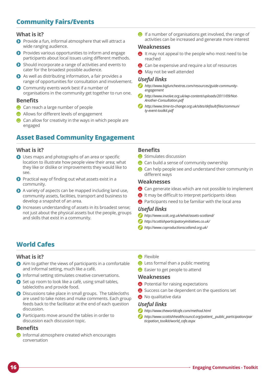# **Community Fairs/Events**

## **What is it?**

- **O** Provide a fun, informal atmosphere that will attract a wide ranging audience.
- **P** Provides various opportunities to inform and engage participants about local issues using different methods.
- Should incorporate a range of activities and events to cater for the broadest possible audience.
- As well as distributing information, a fair provides a range of opportunities for consultation and involvement.
- **O** Community events work best if a number of organisations in the community get together to run one.

#### **Benefits**

- $\bullet$  Can reach a large number of people
- **Allows for different levels of engagement**
- Can allow for creativity in the ways in which people are engaged

# **Asset Based Community Engagement**

## **What is it?**

- **O** Uses maps and photographs of an area or specific location to illustrate how people view their area; what they like or dislike or improvements they would like to see.
- $\Omega$  Practical way of finding out what assets exist in a community.
- A variety of aspects can be mapped including land use, community assets, facilities, transport and business to develop a snapshot of an area.
- **O** Increases understanding of assets in its broadest sense; not just about the physical assets but the people, groups and skills that exist in a community.

 $\bullet$  If a number of organisations get involved, the range of activities can be increased and generate more interest

#### **Weaknesses**

- **A** It may not appeal to the people who most need to be reached
- Can be expensive and require a lot of resources
- **A** May not be well attended

#### *Useful links*

- $\omega$ *[http://www.biglunchextras.com/resources/guide-community](http://www.biglunchextras.com/resources/guide-community-engagement)[engagement](http://www.biglunchextras.com/resources/guide-community-engagement)*
- *[http://www.involve.org.uk/wp-content/uploads/2011/09/Not-](http://www.involve.org.uk/wp-content/uploads/2011/09/Not-Another-Consultation.pdf)[Another-Consultation.pdf](http://www.involve.org.uk/wp-content/uploads/2011/09/Not-Another-Consultation.pdf)*
- *[http://www.time-to-change.org.uk/sites/default/files/communi](http://www.time-to-change.org.uk/sites/default/files/community-event-toolkit.pdf) [ty-event-toolkit.pdf](http://www.time-to-change.org.uk/sites/default/files/community-event-toolkit.pdf)*

## **Benefits**

- Stimulates discussion
- $\bullet$  Can build a sense of community ownership
- $\bullet$  Can help people see and understand their community in different ways

#### **Weaknesses**

- <sup>2</sup> Can generate ideas which are not possible to implement
- **B** It may be difficult to interpret participants ideas
- **P** Participants need to be familiar with the local area

#### *Useful links*

- *http://www.scdc.org.uk/what/assets-scotland/*
- *<http://scottishparticipatoryinitiatives.co.uk/>*
- *<http://www.coproductionscotland.org.uk/>*

# **World Cafes**

#### **What is it?**

- Aim to gather the views of participants in a comfortable and informal setting, much like a café.
- **O** Informal setting stimulates creative conversations.
- Set up room to look like a café, using small tables, tablecloths and provide food.
- **O** Discussions take place in small groups. The tablecloths are used to take notes and make comments. Each group feeds back to the facilitator at the end of each question discussion.
- **P** Participants move around the tables in order to discussion each discussion topic.

## **Benefits**

 $\Theta$  Informal atmosphere created which encourages conversation

- **A** Flexible
- $\bullet$  Less formal than a public meeting
- **B** Easier to get people to attend

#### **Weaknesses**

- **Potential for raising expectations**
- Success can be dependent on the questions set
- <sup>9</sup> No qualitative data

- *<http://www.theworldcafe.com/method.html>*
- *[http://www.scottishhealthcouncil.org/patient\\_\\_public\\_participation/par](http://www.scottishhealthcouncil.org/patient__public_participation/participation_toolkit/world_cafe.aspx)  [ticipation\\_toolkit/world\\_cafe.aspx](http://www.scottishhealthcouncil.org/patient__public_participation/participation_toolkit/world_cafe.aspx)*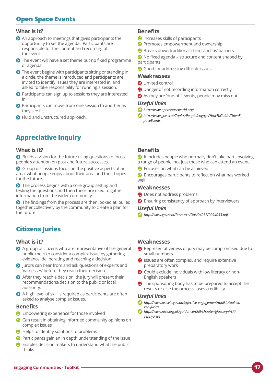# **Open Space Events**

### **What is it?**

- An approach to meetings that gives participants the opportunity to set the agenda. Participants are responsible for the content and recording of the event.
- The event will have a set theme but no fixed programme or agenda.
- **O** The event begins with participants sitting or standing in a circle, the theme is introduced and participants are invited to identify issues they are interested in, and asked to take responsibility for running a session.
- **Participants can sign up to sessions they are interested** in.
- **O** Participants can move from one session to another as they see fit.
- **O** Fluid and unstructured approach.

# **Appreciative Inquiry**

#### **What is it?**

 $\bullet$  Builds a vision for the future using questions to focus people's attention on past and future successes.

**O** Group discussions focus on the positive aspects of an area; what people enjoy about their area and their hopes for the future.

The process begins with a core group setting and testing the questions and then these are used to gather information from the wider community.

The findings from the process are then looked at, pulled together collectively by the community to create a plan for the future.

# **Citizens Juries**

#### **What is it?**

- A group of citizens who are representative of the general public meet to consider a complex issue by gathering evidence, deliberating and reaching a decision.
- Jurors can hear from and ask questions of experts and 'witnesses' before they reach their decision.
- After they reach a decision, the jury will present their recommendations/decision to the public or local authority.
- A high level of skill is required as participants are often asked to analyse complex issues.

#### **Benefits**

- $\bullet$  Empowering experience for those involved
- $\bullet$  Can result in obtaining informed community opinions on complex issues
- $\bigoplus$  Helps to identify solutions to problems
- $\bullet$  Participants gain an in depth understanding of the issue
- Enables decision makers to understand what the public thinks

## **Benefits**

- $\Theta$  Increases skills of participants
- **P** Promotes empowerment and ownership
- Breaks down traditional 'them' and 'us' barriers
- $\bullet$  No fixed agenda structure and content shaped by participants
- $\bullet$  Good for addressing difficult issues

#### **Weaknesses**

- **A** Limited control
- $\bigoplus$  Danger of not recording information correctly
- As they are 'one-off' events, people may miss out

#### *Useful links*

- *<http://www.openspaceworld.org/>*
- *[http://www.gov.scot/Topics/People/engage/HowToGuide/OpenS](http://www.gov.scot/Topics/People/engage/HowToGuide/OpenSpaceEvents)  [paceEvents](http://www.gov.scot/Topics/People/engage/HowToGuide/OpenSpaceEvents)*

### **Benefits**

- $\bullet$  It includes people who normally don't take part, involving a range of people, not just those who can attend an event.
- $\Theta$  Focuses on what can be achieved

 $\bullet$  Encourages participants to reflect on what has worked well

#### **Weaknesses**

- $\Theta$  Does not address problems
- $\bullet$  Ensuring consistency of approach by interviewers

#### *Useful links*

*<http://www.gov.scot/Resource/Doc/94257/0094033.pdf>*

#### **Weaknesses**

- Representativeness of jury may be compromised due to small numbers
- **B** Issues are often complex, and require extensive preparatory work
- **C** Could exclude individuals with low literacy or non-English speakers
- $\bullet$  The sponsoring body has to be prepared to accept the results or else the process loses credibility

- *[http://www.dse.vic.gov.au/effective-engagement/toolkit/tool-citi](http://www.dse.vic.gov.au/effective-engagement/toolkit/tool-citizen-juries) [zen-juries](http://www.dse.vic.gov.au/effective-engagement/toolkit/tool-citizen-juries)*
- *[http://www.nice.org.uk/guidance/ph9/chapter/glossary#/citi](http://www.nice.org.uk/guidance/ph9/chapter/glossary#/citizens-juries)  [zens-juries](http://www.nice.org.uk/guidance/ph9/chapter/glossary#/citizens-juries)*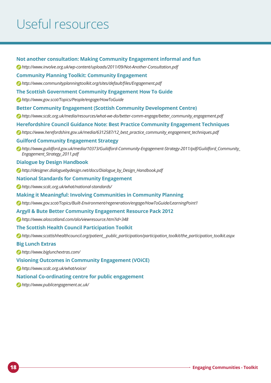# Useful resources

#### **Not another consultation: Making Community Engagement informal and fun**

*<http://www.involve.org.uk/wp-content/uploads/2011/09/Not-Another-Consultation.pdf>*

#### **Community Planning Toolkit: Community Engagement**

*[http://www.communityplanningtoolkit.org/sites/default/files/Engagement.pdf](http://www.communityplanningtoolkit.org/sites/default/files/Engagement.pdf )*

#### **The Scottish Government Community Engagement How To Guide**

*<http://www.gov.scot/Topics/People/engage/HowToGuide>*

#### **Better Community Engagement (Scottish Community Development Centre)**

*[http://www.scdc.org.uk/media/resources/what-we-do/better-comm-engage/better\\_community\\_engagement.pdf](http://www.scdc.org.uk/media/resources/what-we-do/better-comm-engage/better_community_engagement.pdf)*

#### **Herefordshire Council Guidance Note: Best Practice Community Engagement Techniques**

*[https://www.herefordshire.gov.uk/media/6312587/12\\_best\\_practice\\_community\\_engagement\\_techniques.pdf](https://www.herefordshire.gov.uk/media/6312587/12_best_practice_community_engagement_techniques.pdf)*

#### **Guilford Community Engagement Strategy**

*[http://www.guildford.gov.uk/media/10373/Guildford-Community-Engagement-Strategy-2011/pdf/Guildford\\_Community\\_](https://www.herefordshire.gov.uk/media/6312587/12_best_practice_community_engagement_techniques.pdf)  [Engagement\\_Strategy\\_2011.pdf](https://www.herefordshire.gov.uk/media/6312587/12_best_practice_community_engagement_techniques.pdf)* 

#### **Dialogue by Design Handbook**

*[http://designer.dialoguebydesign.net/docs/Dialogue\\_by\\_Design\\_Handbook.pdf](http://designer.dialoguebydesign.net/docs/Dialogue_by_Design_Handbook.pdf)* 

#### **National Standards for Community Engagement**

*<http://www.scdc.org.uk/what/national-standards/>*

#### **Making it Meaningful: Involving Communities in Community Planning**

*<http://www.gov.scot/Topics/Built-Environment/regeneration/engage/HowToGuide/LearningPoint1>*

#### **Argyll & Bute Better Community Engagement Resource Pack 2012**

*<http://www.aloscotland.com/alo/viewresource.htm?id=348>*

#### **The Scottish Health Council Participation Toolkit**

*[http://www.scottishhealthcouncil.org/patient\\_\\_public\\_participation/participation\\_toolkit/the\\_participation\\_toolkit.aspx](http://www.scottishhealthcouncil.org/patient__public_participation/participation_toolkit/the_participation_toolkit.aspx)*

#### **Big Lunch Extras**

*<http://www.biglunchextras.com/>*

#### **Visioning Outcomes in Community Engagement (VOiCE)**

*<http://www.scdc.org.uk/what/voice/>*

#### **National Co-ordinating centre for public engagement**

*<http://www.publicengagement.ac.uk/>*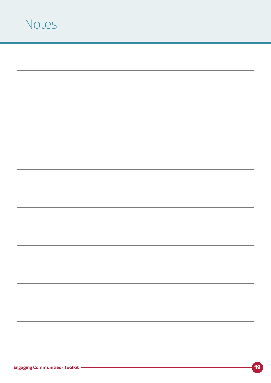